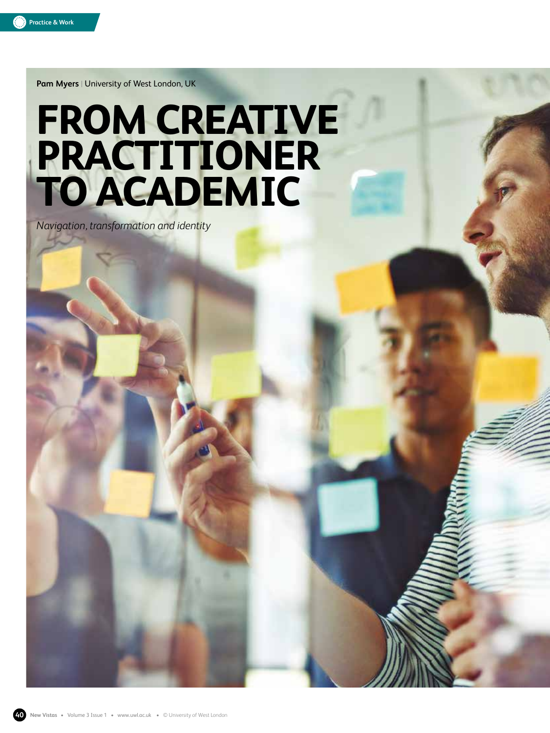

**Pam Myers** | University of West London, UK

# **FROM CREATIVE PRACTITIONER TO ACADEMIC**

*Navigation, transformation and identity*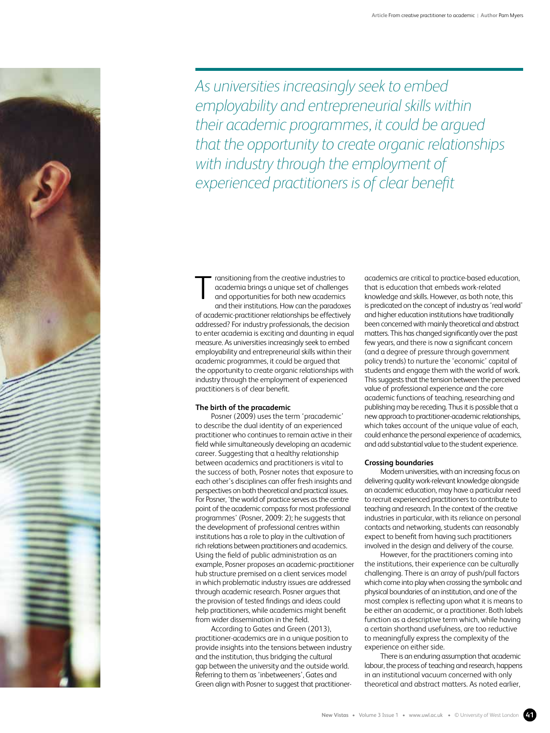*As universities increasingly seek to embed employability and entrepreneurial skills within their academic programmes, it could be argued that the opportunity to create organic relationships with industry through the employment of experienced practitioners is of clear benefit*

ransitioning from the creative industries to academia brings a unique set of challenges and opportunities for both new academics and their institutions. How can the paradoxes of academic-practitioner relationships be effectively addressed? For industry professionals, the decision to enter academia is exciting and daunting in equal measure. As universities increasingly seek to embed employability and entrepreneurial skills within their academic programmes, it could be argued that the opportunity to create organic relationships with industry through the employment of experienced practitioners is of clear benefit. T

### **The birth of the pracademic**

Posner (2009) uses the term 'pracademic' to describe the dual identity of an experienced practitioner who continues to remain active in their field while simultaneously developing an academic career. Suggesting that a healthy relationship between academics and practitioners is vital to the success of both, Posner notes that exposure to each other's disciplines can offer fresh insights and perspectives on both theoretical and practical issues. For Posner, 'the world of practice serves as the centre point of the academic compass for most professional programmes' (Posner, 2009: 2); he suggests that the development of professional centres within institutions has a role to play in the cultivation of rich relations between practitioners and academics. Using the field of public administration as an example, Posner proposes an academic-practitioner hub structure premised on a client services model in which problematic industry issues are addressed through academic research. Posner argues that the provision of tested findings and ideas could help practitioners, while academics might benefit from wider dissemination in the field.

According to Gates and Green (2013), practitioner-academics are in a unique position to provide insights into the tensions between industry and the institution, thus bridging the cultural gap between the university and the outside world. Referring to them as 'inbetweeners', Gates and Green align with Posner to suggest that practitioneracademics are critical to practice-based education, that is education that embeds work-related knowledge and skills. However, as both note, this is predicated on the concept of industry as 'real world' and higher education institutions have traditionally been concerned with mainly theoretical and abstract matters. This has changed significantly over the past few years, and there is now a significant concern (and a degree of pressure through government policy trends) to nurture the 'economic' capital of students and engage them with the world of work. This suggests that the tension between the perceived value of professional experience and the core academic functions of teaching, researching and publishing may be receding. Thus it is possible that a new approach to practitioner-academic relationships, which takes account of the unique value of each, could enhance the personal experience of academics, and add substantial value to the student experience.

#### **Crossing boundaries**

Modern universities, with an increasing focus on delivering quality work-relevant knowledge alongside an academic education, may have a particular need to recruit experienced practitioners to contribute to teaching and research. In the context of the creative industries in particular, with its reliance on personal contacts and networking, students can reasonably expect to benefit from having such practitioners involved in the design and delivery of the course.

However, for the practitioners coming into the institutions, their experience can be culturally challenging. There is an array of push/pull factors which come into play when crossing the symbolic and physical boundaries of an institution, and one of the most complex is reflecting upon what it is means to be either an academic, or a practitioner. Both labels function as a descriptive term which, while having a certain shorthand usefulness, are too reductive to meaningfully express the complexity of the experience on either side.

There is an enduring assumption that academic labour, the process of teaching and research, happens in an institutional vacuum concerned with only theoretical and abstract matters. As noted earlier,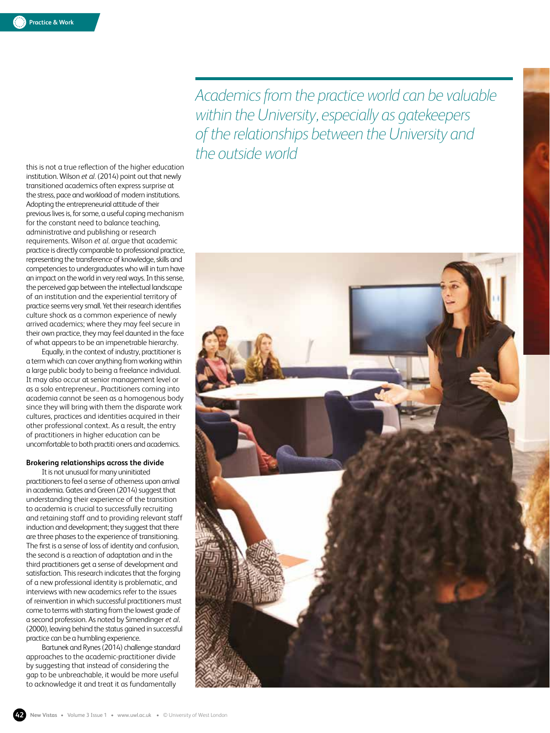*Academics from the practice world can be valuable within the University, especially as gatekeepers of the relationships between the University and the outside world*

this is not a true reflection of the higher education institution. Wilson *et al.* (2014) point out that newly transitioned academics often express surprise at the stress, pace and workload of modern institutions. Adopting the entrepreneurial attitude of their previous lives is, for some, a useful coping mechanism for the constant need to balance teaching, administrative and publishing or research requirements. Wilson *et al*. argue that academic practice is directly comparable to professional practice, representing the transference of knowledge, skills and competencies to undergraduates who will in turn have an impact on the world in very real ways. In this sense, the perceived gap between the intellectual landscape of an institution and the experiential territory of practice seems very small. Yet their research identifies culture shock as a common experience of newly arrived academics; where they may feel secure in their own practice, they may feel daunted in the face of what appears to be an impenetrable hierarchy.

Equally, in the context of industry, practitioner is a term which can cover anything from working within a large public body to being a freelance individual. It may also occur at senior management level or as a solo entrepreneur.. Practitioners coming into academia cannot be seen as a homogenous body since they will bring with them the disparate work cultures, practices and identities acquired in their other professional context. As a result, the entry of practitioners in higher education can be uncomfortable to both practiti oners and academics.

# **Brokering relationships across the divide**

It is not unusual for many uninitiated practitioners to feel a sense of otherness upon arrival in academia. Gates and Green (2014) suggest that understanding their experience of the transition to academia is crucial to successfully recruiting and retaining staff and to providing relevant staff induction and development; they suggest that there are three phases to the experience of transitioning. The first is a sense of loss of identity and confusion, the second is a reaction of adaptation and in the third practitioners get a sense of development and satisfaction. This research indicates that the forging of a new professional identity is problematic, and interviews with new academics refer to the issues of reinvention in which successful practitioners must come to terms with starting from the lowest grade of a second profession. As noted by Simendinger *et al*. (2000), leaving behind the status gained in successful practice can be a humbling experience.

Bartunek and Rynes (2014) challenge standard approaches to the academic-practitioner divide by suggesting that instead of considering the gap to be unbreachable, it would be more useful to acknowledge it and treat it as fundamentally

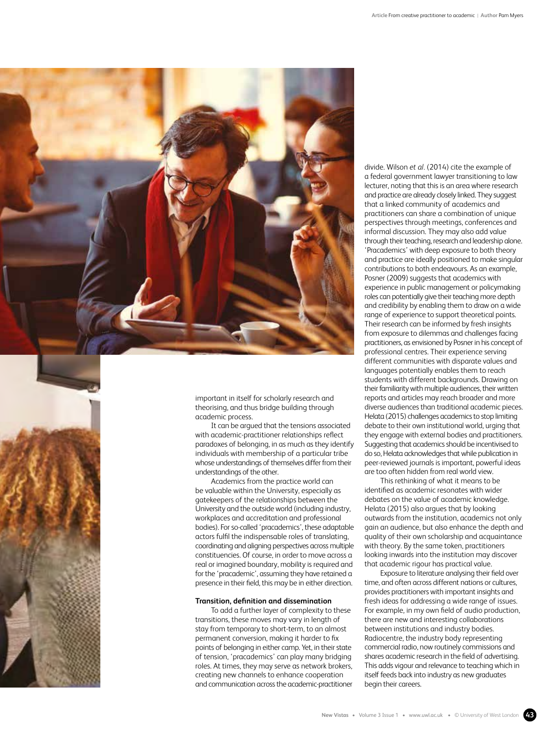

important in itself for scholarly research and theorising, and thus bridge building through academic process.

It can be argued that the tensions associated with academic-practitioner relationships reflect paradoxes of belonging, in as much as they identify individuals with membership of a particular tribe whose understandings of themselves differ from their understandings of the other.

Academics from the practice world can be valuable within the University, especially as gatekeepers of the relationships between the University and the outside world (including industry, workplaces and accreditation and professional bodies). For so-called 'pracademics', these adaptable actors fulfil the indispensable roles of translating, coordinating and aligning perspectives across multiple constituencies. Of course, in order to move across a real or imagined boundary, mobility is required and for the 'pracademic', assuming they have retained a presence in their field, this may be in either direction.

## **Transition, definition and dissemination**

To add a further layer of complexity to these transitions, these moves may vary in length of stay from temporary to short-term, to an almost permanent conversion, making it harder to fix points of belonging in either camp. Yet, in their state of tension, 'pracademics' can play many bridging roles. At times, they may serve as network brokers, creating new channels to enhance cooperation and communication across the academic-practitioner

divide. Wilson *et al.* (2014) cite the example of a federal government lawyer transitioning to law lecturer, noting that this is an area where research and practice are already closely linked. They suggest that a linked community of academics and practitioners can share a combination of unique perspectives through meetings, conferences and informal discussion. They may also add value through their teaching, research and leadership alone. 'Pracademics' with deep exposure to both theory and practice are ideally positioned to make singular contributions to both endeavours. As an example, Posner (2009) suggests that academics with experience in public management or policymaking roles can potentially give their teaching more depth and credibility by enabling them to draw on a wide range of experience to support theoretical points. Their research can be informed by fresh insights from exposure to dilemmas and challenges facing practitioners, as envisioned by Posner in his concept of professional centres. Their experience serving different communities with disparate values and languages potentially enables them to reach students with different backgrounds. Drawing on their familiarity with multiple audiences, their written reports and articles may reach broader and more diverse audiences than traditional academic pieces. Helata (2015) challenges academics to stop limiting debate to their own institutional world, urging that they engage with external bodies and practitioners. Suggesting that academics should be incentivised to do so, Helata acknowledges that while publication in peer-reviewed journals is important, powerful ideas are too often hidden from real world view.

This rethinking of what it means to be identified as academic resonates with wider debates on the value of academic knowledge. Helata (2015) also argues that by looking outwards from the institution, academics not only gain an audience, but also enhance the depth and quality of their own scholarship and acquaintance with theory. By the same token, practitioners looking inwards into the institution may discover that academic rigour has practical value.

Exposure to literature analysing their field over time, and often across different nations or cultures, provides practitioners with important insights and fresh ideas for addressing a wide range of issues. For example, in my own field of audio production, there are new and interesting collaborations between institutions and industry bodies. Radiocentre, the industry body representing commercial radio, now routinely commissions and shares academic research in the field of advertising. This adds vigour and relevance to teaching which in itself feeds back into industry as new graduates begin their careers.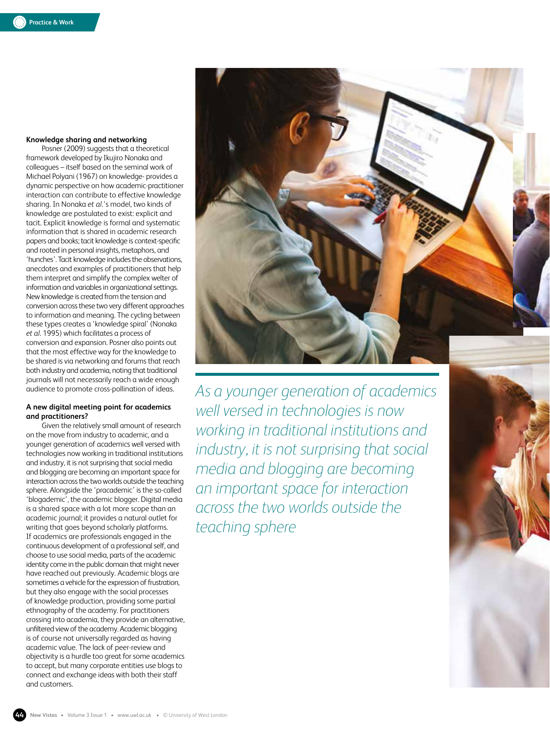# **Knowledge sharing and networking**

Posner (2009) suggests that a theoretical framework developed by Ikujiro Nonaka and colleagues – itself based on the seminal work of Michael Polyani (1967) on knowledge- provides a dynamic perspective on how academic-practitioner interaction can contribute to effective knowledge sharing. In Nonaka *et al*.'s model, two kinds of knowledge are postulated to exist: explicit and tacit. Explicit knowledge is formal and systematic information that is shared in academic research papers and books; tacit knowledge is context-specific and rooted in personal insights, metaphors, and 'hunches'. Tacit knowledge includes the observations, anecdotes and examples of practitioners that help them interpret and simplify the complex welter of information and variables in organizational settings. New knowledge is created from the tension and conversion across these two very different approaches to information and meaning. The cycling between these types creates a 'knowledge spiral' (Nonaka *et al*. 1995) which facilitates a process of conversion and expansion. Posner also points out that the most effective way for the knowledge to be shared is via networking and forums that reach both industry and academia, noting that traditional journals will not necessarily reach a wide enough audience to promote cross-pollination of ideas.

# **A new digital meeting point for academics and practitioners?**

Given the relatively small amount of research on the move from industry to academic, and a younger generation of academics well versed with technologies now working in traditional institutions and industry, it is not surprising that social media and blogging are becoming an important space for interaction across the two worlds outside the teaching sphere. Alongside the 'pracademic' is the so-called 'blogademic', the academic blogger. Digital media is a shared space with a lot more scope than an academic journal; it provides a natural outlet for writing that goes beyond scholarly platforms. If academics are professionals engaged in the continuous development of a professional self, and choose to use social media, parts of the academic identity come in the public domain that might never have reached out previously. Academic blogs are sometimes a vehicle for the expression of frustration, but they also engage with the social processes of knowledge production, providing some partial ethnography of the academy. For practitioners crossing into academia, they provide an alternative, unfiltered view of the academy. Academic blogging is of course not universally regarded as having academic value. The lack of peer-review and objectivity is a hurdle too great for some academics to accept, but many corporate entities use blogs to connect and exchange ideas with both their staff and customers.



*As a younger generation of academics well versed in technologies is now working in traditional institutions and industry, it is not surprising that social media and blogging are becoming an important space for interaction across the two worlds outside the teaching sphere*